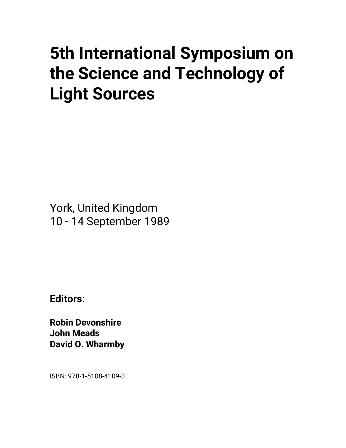# **5th International Symposium on the Science and Technology of Light Sources**

York, United Kingdom 10 - 14 September 1989

**Editors:** 

**Robin Devonshire John Meads David O. Wharmby** 

ISBN: 978-1-5108-4109-3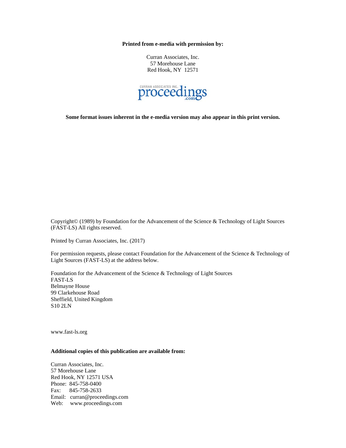**Printed from e-media with permission by:** 

Curran Associates, Inc. 57 Morehouse Lane Red Hook, NY 12571



**Some format issues inherent in the e-media version may also appear in this print version.** 

Copyright© (1989) by Foundation for the Advancement of the Science & Technology of Light Sources (FAST-LS) All rights reserved.

Printed by Curran Associates, Inc. (2017)

For permission requests, please contact Foundation for the Advancement of the Science & Technology of Light Sources (FAST-LS) at the address below.

Foundation for the Advancement of the Science & Technology of Light Sources FAST-LS Belmayne House 99 Clarkehouse Road Sheffield, United Kingdom S10 2LN

www.fast-ls.org

# **Additional copies of this publication are available from:**

Curran Associates, Inc. 57 Morehouse Lane Red Hook, NY 12571 USA Phone: 845-758-0400 Fax: 845-758-2633 Email: curran@proceedings.com Web: www.proceedings.com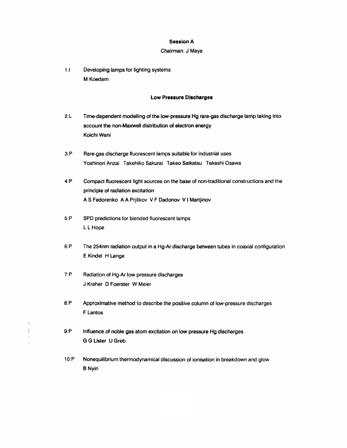#### Session A

#### Chairman: J Maya

1:1 Developing lamps for lighting systems M Koedam

#### Low Pressure Discharges

- 2:L Time-dependent modelling of the low-pressure Hg rare-gas discharge lamp taking into account the non-Maxwell distribution of electron energy Koichi Wani
- 3:P Rare-gas discharge fluorescent lamps suitable for industrial uses Yoshinori Anzai Takehiko Sakurai Takeo Saikatsu Takashi Osawa
- 4:P Compact fluorescent light sources on the base of non-traditional constructions and the principle of radiation excitation A S Fedorenko A A Prjitkov V F Dadonov V I Martjinov
- 5:P SPD predictions for blended fluorescent lamps L L Hope
- 6:P The 254nm radiation output in a Hg-Ar discharge between tubes in coaxial configuration E Kindel H Lange
- 7:P Radiation of Hg-Ar low pressure discharges J Kreher D Foerster W Meier

 $\mathbf{I}$  $\overline{\phantom{a}}$ 

- 8:P Approximative method to describe the positive column of low-pressure discharges F Lantos
- 9:P Influence of noble gas atom excitation on low pressure Hg discharges **G G Lister U Greb**
- 10:P Nonequilibrium thermodynamical discussion of ionisation in breakdown and glow BNyiri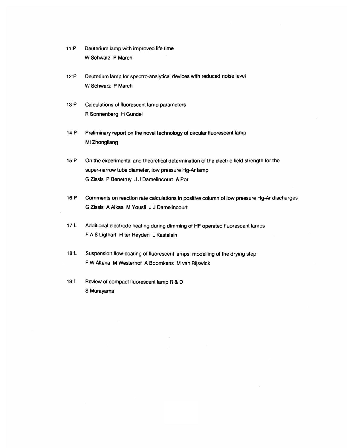- W Schwarz P March P March P March P March P March P March P March P March P March P March P March P March P March P March P March P March P March P March P March P March P March P March P March P March P March P March P Ma
- Deuterium lamp for spectro-analytical devices with reduced noise level<br>W Schwarz P March
- R Sonnenberg H Gundel
- Preliminary report on the novel technology of circular fluorescent lamp<br>Mi Zhongliang
- super-narrow tube diameter, low pressure Hg-Ar lamp super-narrow tube diameter, low pressure Hg-Ar lamp<br>G Zissis P Benetruy J J Damelincourt A Por
- G Zimmenho VII Touchon Turo curotationo in
- F A S Light H terms and the Heyden L Kastelein L Kastelein L Kastelein L Kastelein L Kastelein L Kastelein L K
- Suspension flow-coating of fluorescent lamps: modelling of the drying step F W Altena M Westerhof A Boomkens M van Rijswick
- Review of compact fluorescent lamp R & D<br>S Murayama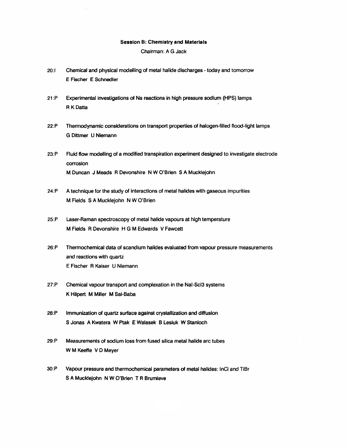#### Session B: Chemistry and Materials

Chairman: A G Jack

- 20:1 Chemical and physical modelling of metal halide discharges today and tomorrow E Fischer E Schnedler
- 21:P Experimental investigations of Na reactions in high pressure sodium (HPS) lamps R K Datta
- 22:P Thermodynamic considerations on transport properties of halogen-filled flood-light lamps G Dittmer U Niemann
- 23:P Fluid flow modelling of a modified transpiration experiment designed to investigate electrode corrosion M Duncan J Meads R Devonshire N W O'Brien S A Mucklejohn
- 24:P A technique for the study of interactions of metal halides with gaseous impurities M Fields SA Mucklejohn N W O'Brien
- 25:P Laser-Raman spectroscopy of metal halide vapours at high temperature M Fields R Devonshire H G M Edwards V Fawcett
- 26:P Thermochemical data of scandium halides evaluated from vapour pressure measurements and reactions with quartz E Fischer R Kaiser U Niemann
- 27:P Chemical vapour transport and complexation in the Nal-Scl3 systems K Hilpert M Miller M Sai-Baba
- 28:P Immunization of quartz surface against crystallization and diffusion S Jonas A Kwatera W Ptak E Walasek B Lesiuk W Stanioch
- 29:P Measurements of sodium loss from fused silica metal halide arc tubes W M Keeffe V D Meyer
- 3O:P Vapour pressure and thermochemical parameters of metal halides: InCI and TIBr S A Mucklejohn N W O'Brien T R Brumleve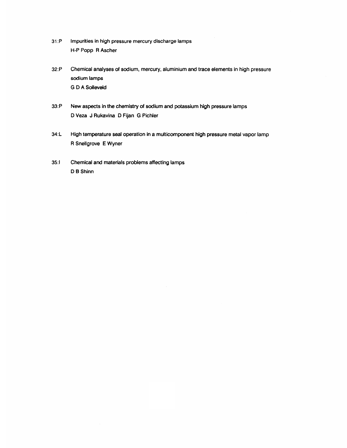- 31:P Impurities in high pressure mercury discharge lamps H-P Popp R Ascher
- 32:P Chemical analyses of sodium, mercury, aluminium and trace elements in high pressure sodium lamps **G D A Solleveld**
- 33:P New aspects in the chemistry of sodium and potassium high pressure lamps D Veza J Rukavina D Fijan G Pichler
- 34:L High temperature seal operation in a multicomponent high pressure metal vapor lamp R Snellgrove E Wyner
- 35:1 Chemical and materials problems affecting lamps D B Shinn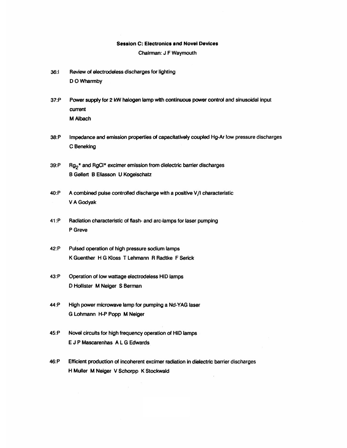### Session C: Electronics and Novel Devices

Chairman: J F Waymouth

- 36:1 Review of electrodeless discharges for lighting D O Wharmby
- 37:P Power supply for 2 kW halogen lamp with continuous power control and sinusoidal input current M Albach
- 38:P Impedance and emission properties of capacitatively coupled Hg-Ar low pressure discharges C Beneklng
- 39:P  $\cdot$  Rg<sub>2</sub><sup>\*</sup> and RgCl<sup>\*</sup> excimer emission from dielectric barrier discharges B Gellert B Eliasson U Kogelschatz
- 40:P A combined pulse controlled discharge with a positive V/I characteristic VA Godyak
- 41:P Radiation characteristic of flash- and arc-lamps for laser pumping P Greve
- 42:P Pulsed operation of high pressure sodium lamps K Guenther H G Kloss T Lehmann R Radtke F Serick
- 43:P Operation of low wattage electrodeless HID lamps D Hollister M Neiger S Berman
- 44:P High power microwave lamp for pumping a Nd-YAG laser G Lohmann H·P Popp M Neiger
- 45:P Novel circuits for high frequency operation of HID lamps E J P Mascarenhas A L G Edwards
- 46:P EffICient production of incoherent excimer radiation in dielectric barrier discharges H Muller M Neiger V Schorpp K Stockwald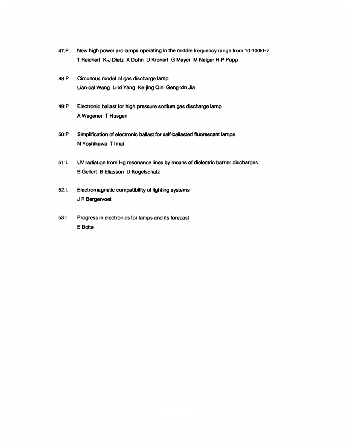- 47:P New high power arc lamps operating in the middle frequency range from 10-100 kHz T Reichert K-J Dietz A Dohn U Kronert G Mayer M Neiger H-P Popp
- 48:P Circuitous model of gas discharge lamp Lian-cai Wang Li-xi Yang Ke-jing Qin Geng-xin Jia
- 49:P 8ectronic ballast for high pressure sodium gas discharge lamp A Wegener T Husgener T Husgener T Husgener T Husgener T Husgener T Husgener T Husgener T Husgener T Husgener T
	- Simplification of electronic ballast for self-ballasted fluorescent lamps<br>N Yoshikawa T Imai
	- 51:L UV radiation from Hg resonance lines by means of dielectric barrier discharges B Gellert B Eliasson U Kogelschatz
	- deur de bergeringen.<br>Geboortes
	- Progress in electronics for lamps and its forecast<br>E Bolte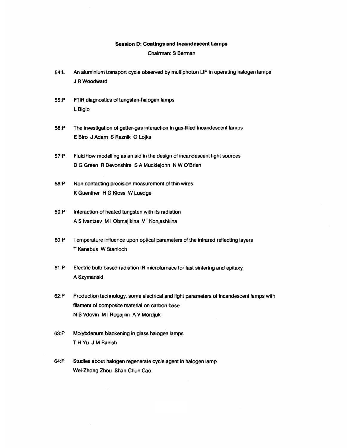#### Session 0: Coatings and Incandescent Lamps

## Chairman: S Berman

- 54:L An aluminium transport cycle observed by multiphoton LIF in operating halogen lamps JRWoodward
- 55:P FTIR diagnostics of tungsten~halogen lamps LBigio
- 56:P The investigation of getter-gas interaction in gas·filled incandescent lamps E Biro J Adam S Reznik 0 Lojka
- 57:P Fluid flow modelling as an aid in the design of incandescent light sources D G Green R Devonshire S A Mucklejohn N W O'Brien
- 58:P Non contacting precision measurement of thin wires K Guenther H G Kloss W Luedge
- 59:P Interaction of heated tungsten with its radiation A S Ivantzev M I Obmajikina V I Konjashkina
- 6O:P Temperature influence upon optical parameters of the infrared reflecting layers T Kanabus W Stanioch
- 61 :P Electric bulb based radiation IR microfurnace for fast sintering and epitaxy A Szymanski
- 62:P Production technology. some electrical and light parameters of incandescent lamps with filament of composite material on carbon base N S Vdovin M I Rogajilin A V Mordjuk
- 63:P Molybdenum blackening In glass halogen lamps T H Yu J M Ranish
- 64:P Studies about halogen regenerate cycle agent in halogen lamp Wei-Zhong Zhou Shan-Chun Cao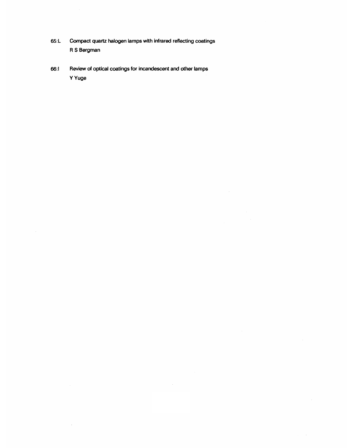- 65:L Compact quartz halogen lamps with infrared reflecting coatings R S Bergman
- 66:1 Review of optical coatings for incandescent and other lamps YYuge

 $\hat{A}$ 

 $\bar{\bar{z}}$ 

 $\bar{z}$ 

 $\hat{\mathcal{A}}$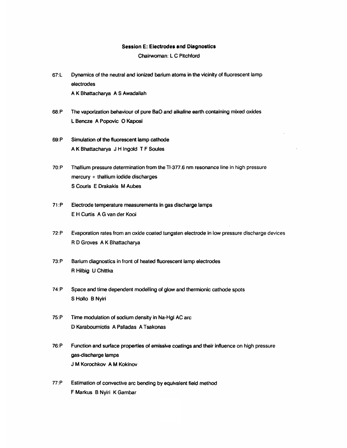#### Session E: Electrodes and Diagnostics

Chairwoman: L C Pitchford

- 67:L Dynamics of the neutral and ionized barium atoms in the vicinity of fluorescent lamp electrodes A K Bhattacharya A S Awadallah
- 68:P The vaporization behaviour of pure BaO and alkaline earth containing mixed oxides L Bencze A Popovic 0 Kaposi
- 69:P Simulation of the fluorescent lamp cathode A K Bhattacharya J H Ingold T F Soules
- 70:P Thallium pressure determination from the TI-377.6 nm resonance line in high pressure mercury + thallium iodide discharges S Couris E Drakakis M Aubes
- 71:P Electrode temperature measurements in gas discharge lamps E H Curtis A G van der Kooi
- 72:P Evaporation rates from an oxide coated tungsten electrode in low pressure discharge devices R D Groves A K Bhattacharya
- 73:P Barium diagnostics in front of heated fluorescent lamp electrodes R Hilbig U Chittka
- 74:P Space and time dependent modelling of glow and thermionic cathode spots S Hollo B Nyiri
- 75:P Time modulation of sodium density in Na·Hgl AC arc D Karabourniotis A Palladas A Tsakonas
- 76:P Function and surface properties of emissive coatings and their influence on high pressure gas-discharge lamps J M Korochkov A M Kokinov
- 77:P Estimation of convective arc bending by equivalent field method F Markus B Nyiri K Gambar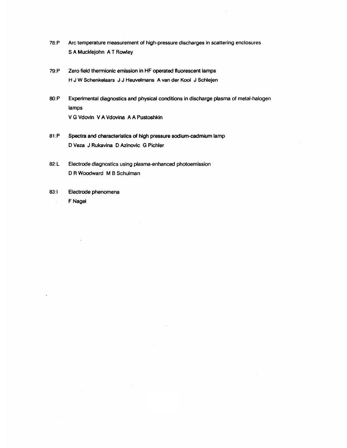- 78:P Arc temperature measurement of high-pressure discharges in scattering enclosures S A Mucklejohn A T Rowley
- 79:P Zero field thermionic emission in HF operated fluorescent lamps H J W Schenkelaars J J Heuvelmans A van der Kooi J Schlejen
- 8O:P Experimental diagnostics and physical conditions in discharge plasma of metal-halogen lamps V G Vdovin V A Vdovina A A Pustoshkin
- 81 :P Spectra and characteristics of high pressure sodium-cadmium lamp D Veza J Rukavina D Azinovic G Pichler
- 82:L Electrode diagnostics using plasma-enhanced photoemission D R Woodward M B Schulman
- 83: Electrode phenomena F Nagel  $\bar{\gamma}$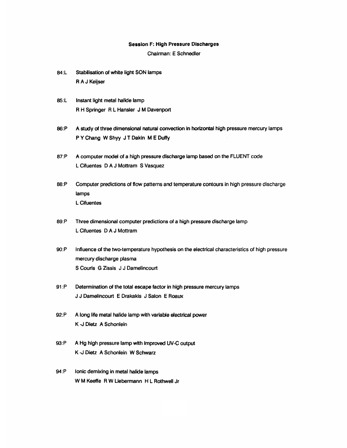#### Session F: High Pressure Discharges

Chairman: E Schnedler

- 84:L Stabilisation of white light SON lamps RAJ Keijser
- 85:L Instant light metal halide lamp R H Springer R L Hansier J M Davenport
- 86:P A study of three dimensional natural convection in horizontal high pressure mercury lamps P Y Chang W Shyy J T Dakin M E Duffy
- 87:P A computer model of a high pressure discharge lamp based on the FLUENT code L Cifuentes D A J Mottram S Vasquez
- 88:P Computer predictions of flow patterns and temperature contours in high pressure discharge lamps L Cifuentes
- 89: P Three dimensional computer predictions of a high pressure discharge lamp L Cifuentes D A J Mottram
- 9O:P Influence of the two-temperature hypothesis on the electrical characteristics of high pressure mercury discharge plasma S Couris G Zissis J J Damelincourt
- 91 :P Determination of the total escape factor in high pressure mercury lamps J J Damelincourt E Drakakis J Salon E Roaux
- 92:P A long life metal halide lamp with variable electrical power K -J Dietz A Schonlein
- 93:P A Hg high pressure lamp with improved UV-C output K J Dietz A Schonlein W Schwarz
- 94:P Ionic demixing in metal halide lamps W M Keeffe R W Uebermann H L Rothwell Jr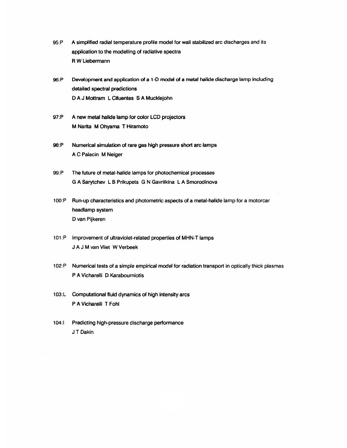- 95:P A simplified radial temperature profile model for wall stabilized arc discharges and its application to the modelling of radiative spectra R W Uebermann
- 96:P Development and application of a 1-0 model of a metal halide discharge lamp including detailed spectral predictions D A J Mottram L Cifuentes S A Mucklejohn
- 97:P A new metal halide lamp for color LCD projectors M Narita M Ohyama T Hiramoto
- 98:P Numerical simulation of rare gas high pressure short arc lamps A C Palacin M Neiger
- 99:P The future of metal-halide lamps for photochemical processes G A Sarytchev L B Prikupets G N Gavrilkina L A Smorodinova
- 100:P Run·up characteristics and photometric aspects of a metal-halide lamp for a motorcar headlamp system D van Pijkeren
- 101:P Improvement of ultraviolet-related properties of MHN-T lamps J A J M van Vliet W Verbeek
- 102:P Numerical tests of a simple empirical model for radiation transport in optically thick plasmas P A Vicharelli D Karabourniotis
- 103:L Computational fluid dynamics of high intensity arcs P A Vicharelli T Fohl
- 104:1 Predicting high-pressure discharge performance J T Dakin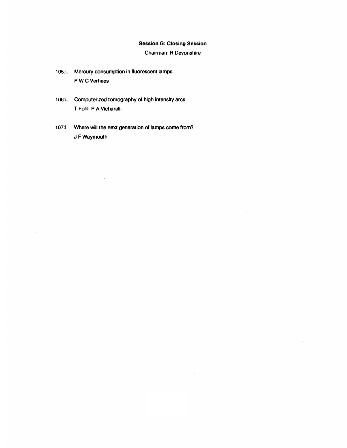## Session G: Closing Session

Chairman: R Devonshire

 $\hat{\mathcal{A}}$ 

 $\sim$ 

- 105:L Mercury consumption in fluorescent lamps P W C Verhees
- 106:L Computerized tomography of high intensity arcs T Fohl P A Vlcharelli
- 107:1 Where will the next generation of lamps come from? J FWaymouth

 $\bar{z}$